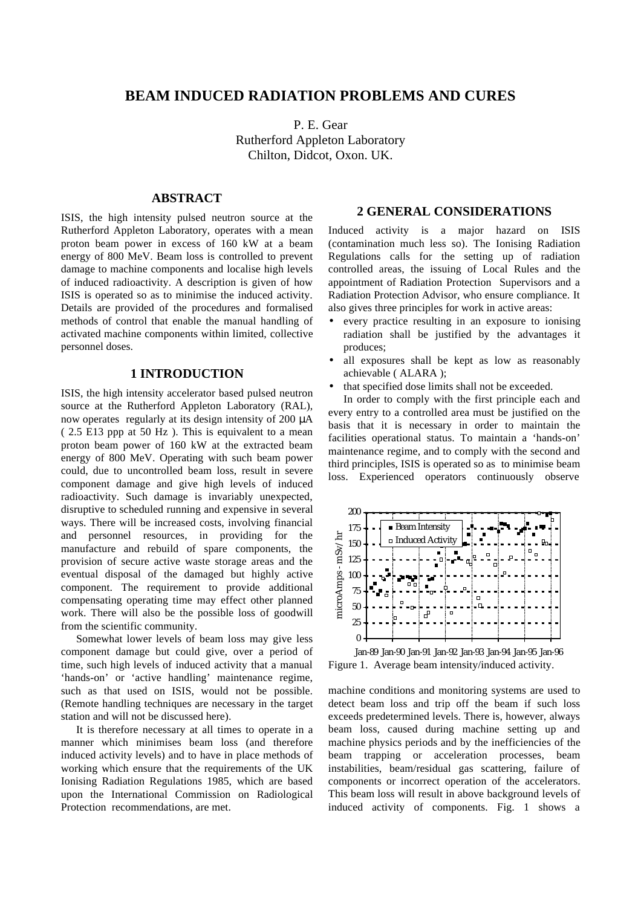# **BEAM INDUCED RADIATION PROBLEMS AND CURES**

P. E. Gear Rutherford Appleton Laboratory Chilton, Didcot, Oxon. UK.

# **ABSTRACT**

ISIS, the high intensity pulsed neutron source at the Rutherford Appleton Laboratory, operates with a mean proton beam power in excess of 160 kW at a beam energy of 800 MeV. Beam loss is controlled to prevent damage to machine components and localise high levels of induced radioactivity. A description is given of how ISIS is operated so as to minimise the induced activity. Details are provided of the procedures and formalised methods of control that enable the manual handling of activated machine components within limited, collective personnel doses.

## **1 INTRODUCTION**

ISIS, the high intensity accelerator based pulsed neutron source at the Rutherford Appleton Laboratory (RAL), now operates regularly at its design intensity of 200 µA ( 2.5 E13 ppp at 50 Hz ). This is equivalent to a mean proton beam power of 160 kW at the extracted beam energy of 800 MeV. Operating with such beam power could, due to uncontrolled beam loss, result in severe component damage and give high levels of induced radioactivity. Such damage is invariably unexpected, disruptive to scheduled running and expensive in several ways. There will be increased costs, involving financial and personnel resources, in providing for the manufacture and rebuild of spare components, the provision of secure active waste storage areas and the eventual disposal of the damaged but highly active component. The requirement to provide additional compensating operating time may effect other planned work. There will also be the possible loss of goodwill from the scientific community.

Somewhat lower levels of beam loss may give less component damage but could give, over a period of time, such high levels of induced activity that a manual 'hands-on' or 'active handling' maintenance regime, such as that used on ISIS, would not be possible. (Remote handling techniques are necessary in the target station and will not be discussed here).

It is therefore necessary at all times to operate in a manner which minimises beam loss (and therefore induced activity levels) and to have in place methods of working which ensure that the requirements of the UK Ionising Radiation Regulations 1985, which are based upon the International Commission on Radiological Protection recommendations, are met.

#### **2 GENERAL CONSIDERATIONS**

Induced activity is a major hazard on ISIS (contamination much less so). The Ionising Radiation Regulations calls for the setting up of radiation controlled areas, the issuing of Local Rules and the appointment of Radiation Protection Supervisors and a Radiation Protection Advisor, who ensure compliance. It also gives three principles for work in active areas:

- every practice resulting in an exposure to ionising radiation shall be justified by the advantages it produces;
- all exposures shall be kept as low as reasonably achievable ( ALARA );
- that specified dose limits shall not be exceeded.

In order to comply with the first principle each and every entry to a controlled area must be justified on the basis that it is necessary in order to maintain the facilities operational status. To maintain a 'hands-on' maintenance regime, and to comply with the second and third principles, ISIS is operated so as to minimise beam loss. Experienced operators continuously observe



Jan-89 Jan-90 Jan-91 Jan-92 Jan-93 Jan-94 Jan-95 Jan-96 Figure 1. Average beam intensity/induced activity.

machine conditions and monitoring systems are used to detect beam loss and trip off the beam if such loss exceeds predetermined levels. There is, however, always beam loss, caused during machine setting up and machine physics periods and by the inefficiencies of the beam trapping or acceleration processes, beam instabilities, beam/residual gas scattering, failure of components or incorrect operation of the accelerators. This beam loss will result in above background levels of induced activity of components. Fig. 1 shows a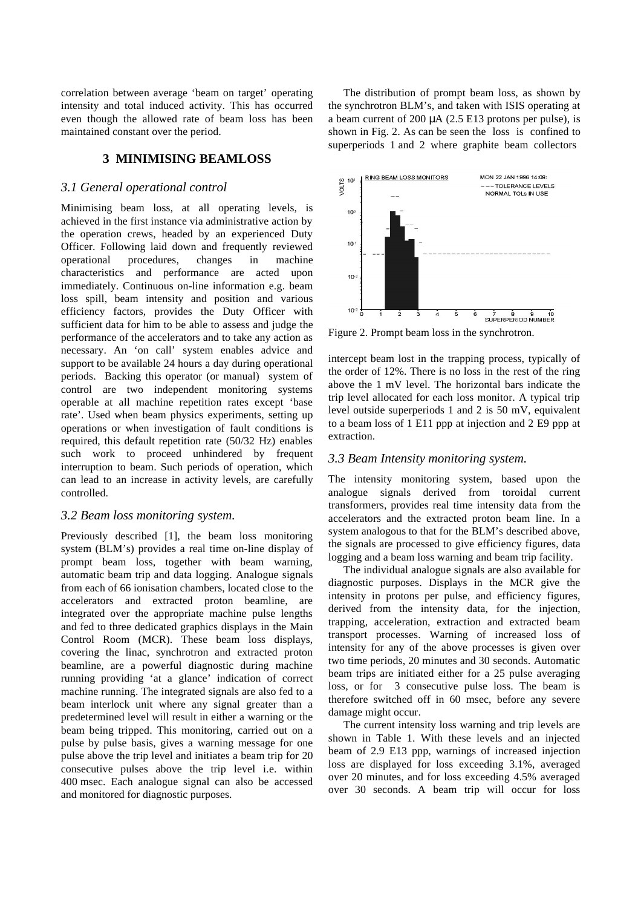correlation between average 'beam on target' operating intensity and total induced activity. This has occurred even though the allowed rate of beam loss has been maintained constant over the period.

### **3 MINIMISING BEAMLOSS**

#### *3.1 General operational control*

Minimising beam loss, at all operating levels, is achieved in the first instance via administrative action by the operation crews, headed by an experienced Duty Officer. Following laid down and frequently reviewed operational procedures, changes in machine characteristics and performance are acted upon immediately. Continuous on-line information e.g. beam loss spill, beam intensity and position and various efficiency factors, provides the Duty Officer with sufficient data for him to be able to assess and judge the performance of the accelerators and to take any action as necessary. An 'on call' system enables advice and support to be available 24 hours a day during operational periods. Backing this operator (or manual) system of control are two independent monitoring systems operable at all machine repetition rates except 'base rate'. Used when beam physics experiments, setting up operations or when investigation of fault conditions is required, this default repetition rate (50/32 Hz) enables such work to proceed unhindered by frequent interruption to beam. Such periods of operation, which can lead to an increase in activity levels, are carefully controlled.

#### *3.2 Beam loss monitoring system.*

Previously described [1], the beam loss monitoring system (BLM's) provides a real time on-line display of prompt beam loss, together with beam warning, automatic beam trip and data logging. Analogue signals from each of 66 ionisation chambers, located close to the accelerators and extracted proton beamline, are integrated over the appropriate machine pulse lengths and fed to three dedicated graphics displays in the Main Control Room (MCR). These beam loss displays, covering the linac, synchrotron and extracted proton beamline, are a powerful diagnostic during machine running providing 'at a glance' indication of correct machine running. The integrated signals are also fed to a beam interlock unit where any signal greater than a predetermined level will result in either a warning or the beam being tripped. This monitoring, carried out on a pulse by pulse basis, gives a warning message for one pulse above the trip level and initiates a beam trip for 20 consecutive pulses above the trip level i.e. within 400 msec. Each analogue signal can also be accessed and monitored for diagnostic purposes.

The distribution of prompt beam loss, as shown by the synchrotron BLM's, and taken with ISIS operating at a beam current of 200  $\mu$ A (2.5 E13 protons per pulse), is shown in Fig. 2. As can be seen the loss is confined to superperiods 1 and 2 where graphite beam collectors



Figure 2. Prompt beam loss in the synchrotron.

intercept beam lost in the trapping process, typically of the order of 12%. There is no loss in the rest of the ring above the 1 mV level. The horizontal bars indicate the trip level allocated for each loss monitor. A typical trip level outside superperiods 1 and 2 is 50 mV, equivalent to a beam loss of 1 E11 ppp at injection and 2 E9 ppp at extraction.

#### *3.3 Beam Intensity monitoring system.*

The intensity monitoring system, based upon the analogue signals derived from toroidal current transformers, provides real time intensity data from the accelerators and the extracted proton beam line. In a system analogous to that for the BLM's described above, the signals are processed to give efficiency figures, data logging and a beam loss warning and beam trip facility.

The individual analogue signals are also available for diagnostic purposes. Displays in the MCR give the intensity in protons per pulse, and efficiency figures, derived from the intensity data, for the injection, trapping, acceleration, extraction and extracted beam transport processes. Warning of increased loss of intensity for any of the above processes is given over two time periods, 20 minutes and 30 seconds. Automatic beam trips are initiated either for a 25 pulse averaging loss, or for 3 consecutive pulse loss. The beam is therefore switched off in 60 msec, before any severe damage might occur.

The current intensity loss warning and trip levels are shown in Table 1. With these levels and an injected beam of 2.9 E13 ppp, warnings of increased injection loss are displayed for loss exceeding 3.1%, averaged over 20 minutes, and for loss exceeding 4.5% averaged over 30 seconds. A beam trip will occur for loss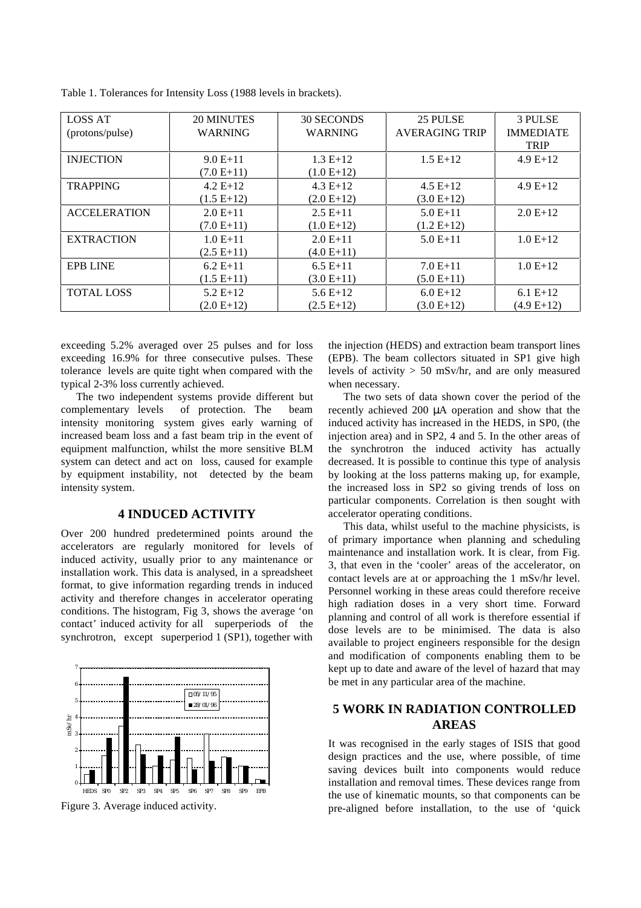| <b>LOSS AT</b><br>(protons/pulse) | 20 MINUTES<br><b>WARNING</b> | 30 SECONDS<br><b>WARNING</b> | 25 PULSE<br><b>AVERAGING TRIP</b> | <b>3 PULSE</b><br><b>IMMEDIATE</b><br><b>TRIP</b> |
|-----------------------------------|------------------------------|------------------------------|-----------------------------------|---------------------------------------------------|
| <b>INJECTION</b>                  | $9.0 E+11$<br>$(7.0 E+11)$   | $1.3 E+12$<br>$(1.0 E+12)$   | $1.5 E+12$                        | $4.9E+12$                                         |
| <b>TRAPPING</b>                   | $4.2 E+12$<br>$(1.5 E+12)$   | $4.3 E+12$<br>$(2.0 E+12)$   | $4.5 E+12$<br>$(3.0 E+12)$        | $4.9E+12$                                         |
| <b>ACCELERATION</b>               | $2.0 E+11$<br>$(7.0 E+11)$   | $2.5E+11$<br>$(1.0 E+12)$    | $5.0 E+11$<br>$(1.2 E+12)$        | $2.0 E+12$                                        |
| <b>EXTRACTION</b>                 | $1.0 E+11$<br>$(2.5 E+11)$   | $2.0 E+11$<br>$(4.0 E+11)$   | $5.0 E+11$                        | $1.0 E+12$                                        |
| <b>EPB LINE</b>                   | $6.2 E+11$<br>$(1.5 E+11)$   | $6.5 E+11$<br>$(3.0 E+11)$   | $7.0 E+11$<br>$(5.0 E+11)$        | $1.0 E+12$                                        |
| <b>TOTAL LOSS</b>                 | $5.2 E+12$<br>$(2.0 E+12)$   | $5.6E+12$<br>$(2.5 E+12)$    | $6.0 E+12$<br>$(3.0 E+12)$        | $6.1 E+12$<br>$(4.9 E+12)$                        |

Table 1. Tolerances for Intensity Loss (1988 levels in brackets).

exceeding 5.2% averaged over 25 pulses and for loss exceeding 16.9% for three consecutive pulses. These tolerance levels are quite tight when compared with the typical 2-3% loss currently achieved.

The two independent systems provide different but complementary levels of protection. The beam intensity monitoring system gives early warning of increased beam loss and a fast beam trip in the event of equipment malfunction, whilst the more sensitive BLM system can detect and act on loss, caused for example by equipment instability, not detected by the beam intensity system.

## **4 INDUCED ACTIVITY**

Over 200 hundred predetermined points around the accelerators are regularly monitored for levels of induced activity, usually prior to any maintenance or installation work. This data is analysed, in a spreadsheet format, to give information regarding trends in induced activity and therefore changes in accelerator operating conditions. The histogram, Fig 3, shows the average 'on contact' induced activity for all superperiods of the synchrotron, except superperiod 1 (SP1), together with



Figure 3. Average induced activity.

the injection (HEDS) and extraction beam transport lines (EPB). The beam collectors situated in SP1 give high levels of activity  $> 50$  mSv/hr, and are only measured when necessary.

The two sets of data shown cover the period of the recently achieved 200 µA operation and show that the induced activity has increased in the HEDS, in SP0, (the injection area) and in SP2, 4 and 5. In the other areas of the synchrotron the induced activity has actually decreased. It is possible to continue this type of analysis by looking at the loss patterns making up, for example, the increased loss in SP2 so giving trends of loss on particular components. Correlation is then sought with accelerator operating conditions.

This data, whilst useful to the machine physicists, is of primary importance when planning and scheduling maintenance and installation work. It is clear, from Fig. 3, that even in the 'cooler' areas of the accelerator, on contact levels are at or approaching the 1 mSv/hr level. Personnel working in these areas could therefore receive high radiation doses in a very short time. Forward planning and control of all work is therefore essential if dose levels are to be minimised. The data is also available to project engineers responsible for the design and modification of components enabling them to be kept up to date and aware of the level of hazard that may be met in any particular area of the machine.

# **5 WORK IN RADIATION CONTROLLED AREAS**

It was recognised in the early stages of ISIS that good design practices and the use, where possible, of time saving devices built into components would reduce installation and removal times. These devices range from the use of kinematic mounts, so that components can be pre-aligned before installation, to the use of 'quick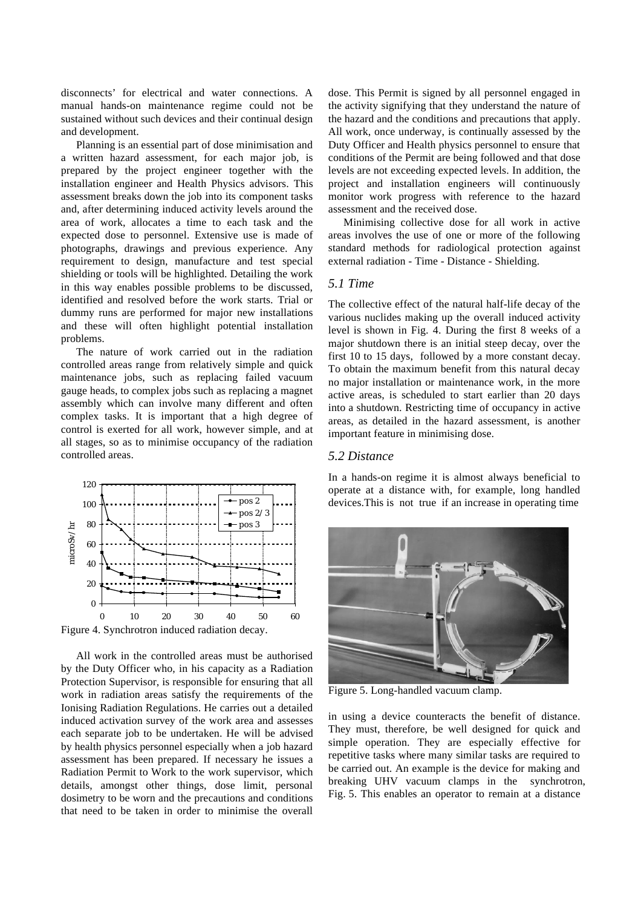disconnects' for electrical and water connections. A manual hands-on maintenance regime could not be sustained without such devices and their continual design and development.

Planning is an essential part of dose minimisation and a written hazard assessment, for each major job, is prepared by the project engineer together with the installation engineer and Health Physics advisors. This assessment breaks down the job into its component tasks and, after determining induced activity levels around the area of work, allocates a time to each task and the expected dose to personnel. Extensive use is made of photographs, drawings and previous experience. Any requirement to design, manufacture and test special shielding or tools will be highlighted. Detailing the work in this way enables possible problems to be discussed, identified and resolved before the work starts. Trial or dummy runs are performed for major new installations and these will often highlight potential installation problems.

The nature of work carried out in the radiation controlled areas range from relatively simple and quick maintenance jobs, such as replacing failed vacuum gauge heads, to complex jobs such as replacing a magnet assembly which can involve many different and often complex tasks. It is important that a high degree of control is exerted for all work, however simple, and at all stages, so as to minimise occupancy of the radiation controlled areas.



Figure 4. Synchrotron induced radiation decay.

All work in the controlled areas must be authorised by the Duty Officer who, in his capacity as a Radiation Protection Supervisor, is responsible for ensuring that all work in radiation areas satisfy the requirements of the Ionising Radiation Regulations. He carries out a detailed induced activation survey of the work area and assesses each separate job to be undertaken. He will be advised by health physics personnel especially when a job hazard assessment has been prepared. If necessary he issues a Radiation Permit to Work to the work supervisor, which details, amongst other things, dose limit, personal dosimetry to be worn and the precautions and conditions that need to be taken in order to minimise the overall

dose. This Permit is signed by all personnel engaged in the activity signifying that they understand the nature of the hazard and the conditions and precautions that apply. All work, once underway, is continually assessed by the Duty Officer and Health physics personnel to ensure that conditions of the Permit are being followed and that dose levels are not exceeding expected levels. In addition, the project and installation engineers will continuously monitor work progress with reference to the hazard assessment and the received dose.

Minimising collective dose for all work in active areas involves the use of one or more of the following standard methods for radiological protection against external radiation - Time - Distance - Shielding.

## *5.1 Time*

The collective effect of the natural half-life decay of the various nuclides making up the overall induced activity level is shown in Fig. 4. During the first 8 weeks of a major shutdown there is an initial steep decay, over the first 10 to 15 days, followed by a more constant decay. To obtain the maximum benefit from this natural decay no major installation or maintenance work, in the more active areas, is scheduled to start earlier than 20 days into a shutdown. Restricting time of occupancy in active areas, as detailed in the hazard assessment, is another important feature in minimising dose.

#### *5.2 Distance*

In a hands-on regime it is almost always beneficial to operate at a distance with, for example, long handled devices.This is not true if an increase in operating time



Figure 5. Long-handled vacuum clamp.

in using a device counteracts the benefit of distance. They must, therefore, be well designed for quick and simple operation. They are especially effective for repetitive tasks where many similar tasks are required to be carried out. An example is the device for making and breaking UHV vacuum clamps in the synchrotron, Fig. 5. This enables an operator to remain at a distance